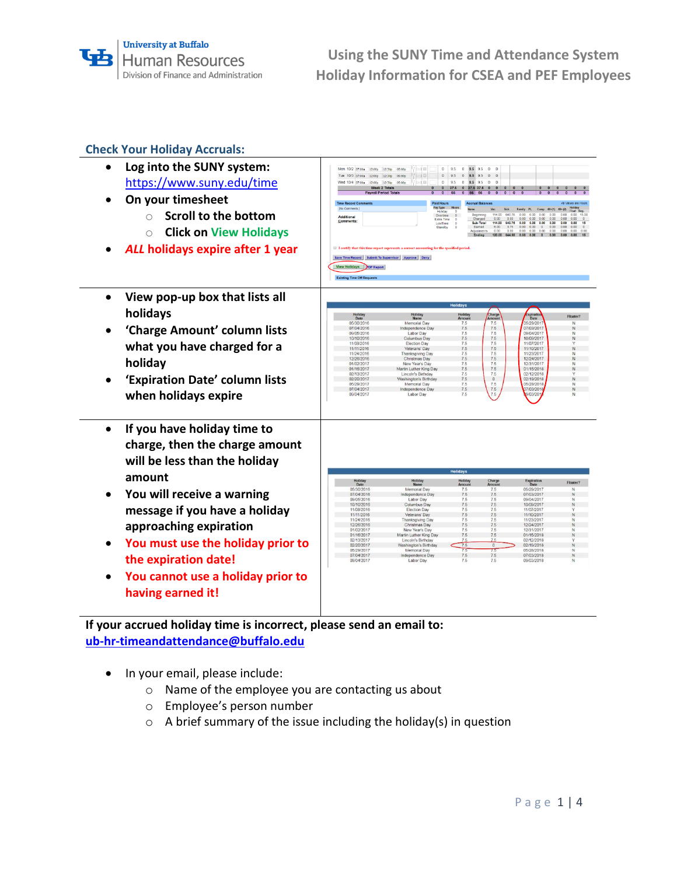# **Check Your Holiday Accruals:**

- **Log into the SUNY system:** <https://www.suny.edu/time>
- **On your timesheet**
	- o **Scroll to the bottom**
	- o **Click on View Holidays**
- *ALL* **holidays expire after 1 year**
- **View pop-up box that lists all holidays**
- **'Charge Amount' column lists what you have charged for a holiday**
- **'Expiration Date' column lists when holidays expire**
- **If you have holiday time to charge, then the charge amount will be less than the holiday amount**
- **You will receive a warning message if you have a holiday approaching expiration**
- **You must use the holiday prior to the expiration date!**
- **You cannot use a holiday prior to having earned it!**

| Mon 10/2 (2:00)<br>12:00p                          | ∄hal ⊞<br>12:30p<br>05:00p                                                                         | $\mathbf{0}$<br>9.5<br>$\mathbf 0$<br>9.5                                      | 9.5<br>$\mathbf{0}$<br>$\circ$                                     |                                                                     |                                                         |
|----------------------------------------------------|----------------------------------------------------------------------------------------------------|--------------------------------------------------------------------------------|--------------------------------------------------------------------|---------------------------------------------------------------------|---------------------------------------------------------|
| Tue 10/3 07:00a<br>12:00p 12:30p                   | # tel O<br>05:00p                                                                                  | $\mathbf 0$<br>9.5<br>$\circ$<br>9.5                                           | 9.5<br>$\mathbf 0$<br>$\mathbf 0$                                  |                                                                     |                                                         |
| Wed 10/4 07:00a<br>12:00p                          | $\cdot$ [ $\pm$ ] $\boxplus$<br>12:30p<br>05:00p                                                   | 0<br>9.5<br>0<br>9.5<br>$\mathbf{0}$                                           | 9.5<br>$\bf{0}$<br>$\pmb{0}$                                       | $\mathbf 0$<br>$\bullet$<br>$\circ$<br>$\bullet$                    | $\circ$<br>$\circ$                                      |
| Week 2 Totals<br><b>Payroll Period Totals</b>      | $\overline{0}$                                                                                     | 37.5<br>$\pmb{\mathsf{o}}$<br>37.6 37.6<br>66<br>66 66<br>$\Omega$<br>$\Omega$ | $\bullet$<br>$\bullet$<br>$\pmb{\mathsf{o}}$<br>0 0 0<br>$\bullet$ | $\overline{0}$<br>$\overline{0}$<br>$\bullet$                       | $\circ$<br>$\overline{0}$<br>$\overline{0}$<br>$\Omega$ |
| <b>Time Record Comments</b>                        | <b>Paid Hours</b>                                                                                  |                                                                                | <b>Accrual Balances</b>                                            |                                                                     | All Values are Hours.                                   |
| [No Comments.]                                     | Pay Type                                                                                           | <b>Hours</b><br><b>Name</b>                                                    | Sick<br>Vac                                                        | Family PL<br>Comp                                                   | Holiday<br>$40+11$ $40+121$<br>Float Reg                |
| Additional                                         |                                                                                                    | Holiday<br>0<br>Overtime<br>$\mathbf{0}$                                       | 114.00 640.75<br>Beginning                                         | 0.00<br>0.00 0.00<br>0.00                                           | 0.00<br>0.00                                            |
| Comments:                                          |                                                                                                    | Extra Time<br>$\sqrt{2}$<br>LostTime                                           | Charged<br>0.00<br>0.00<br>Sub-Total<br>114.00<br>640.75           | 0.00<br>0.00<br>0.00<br>0.00<br>0.00<br>0.00<br>0.00<br>0.00        | 0.00<br>0.00<br>0.00<br>0.00                            |
|                                                    |                                                                                                    | $\Omega$<br>$\circ$<br>Standby                                                 | Earned<br>6.00<br>3.75<br>0.00<br>0.00<br>Adjustments              | 0.00<br>0.00<br>$\mathbf 0$<br>0.00<br>0.00<br>0.00<br>0.00<br>0.00 | 0.00 0.00<br>0.00<br>0.00                               |
|                                                    |                                                                                                    |                                                                                | Ending<br>644.50<br>120.00                                         | 0.00<br>0.00<br>0.00<br>$\bullet$                                   | 0.00<br>0.00                                            |
|                                                    | <b>I</b> I certify that this time report represents a correct accounting for the specified period. |                                                                                |                                                                    |                                                                     |                                                         |
| Save Time Record Submit To Supervisor Approve Deny |                                                                                                    |                                                                                |                                                                    |                                                                     |                                                         |
| <b>View Holidays</b><br>DE Report                  |                                                                                                    |                                                                                |                                                                    |                                                                     |                                                         |
| <b>Existing Time Off Requests</b>                  |                                                                                                    |                                                                                |                                                                    |                                                                     |                                                         |
|                                                    |                                                                                                    |                                                                                |                                                                    |                                                                     |                                                         |
|                                                    |                                                                                                    |                                                                                |                                                                    |                                                                     |                                                         |
|                                                    |                                                                                                    | <b>Holidays</b>                                                                |                                                                    |                                                                     |                                                         |
| Holiday<br>Date                                    | Holiday<br>Name                                                                                    | Holiday<br>Arnount                                                             | Charge<br>Amount                                                   | xpiration<br>Date                                                   | Floater?                                                |
| 05/30/2016                                         | Memorial Day                                                                                       | 7.5                                                                            | 7.5                                                                | 05/29/2011                                                          | N                                                       |
| 07/04/2016                                         | Independence Day                                                                                   | 7.5                                                                            | 7.5                                                                | 07/03/2017                                                          | $\mathbb{N}$                                            |
| 09/05/2016                                         | Labor Day                                                                                          | 7.5                                                                            | 7.5                                                                | 09/04/2017                                                          | N                                                       |
| 10/10/2016                                         | Columbus Day                                                                                       | 7.5                                                                            | 7.5                                                                | 10/09/2017                                                          | N                                                       |
| 11/08/2016                                         | Election Day                                                                                       | 75                                                                             | 7.5                                                                | 11/07/2017                                                          | Y                                                       |
| 11/11/2016                                         | Veterans' Day                                                                                      | 7.5                                                                            | 7.5                                                                | 11/10/2017                                                          | N                                                       |
| 11/24/2016                                         | Thanksgiving Day                                                                                   | 7.5                                                                            | 7.5                                                                | 11/23/2017                                                          | N                                                       |
| 12/26/2016                                         | Christmas Day                                                                                      | 7.5                                                                            | 7.5                                                                | 12/24/2017                                                          | N                                                       |
| 01/02/2017                                         | New Year's Day                                                                                     | 7.5                                                                            | 7.5                                                                | 12/31/2017                                                          | N                                                       |
| 01/16/2017                                         | Martin Luther King Day                                                                             | 7.5                                                                            | 7.5                                                                | 01/15/2018                                                          | N                                                       |
|                                                    |                                                                                                    | 7.5                                                                            | 7.5                                                                |                                                                     | Y                                                       |
| 02/13/2017                                         | Lincoln's Birthday                                                                                 |                                                                                |                                                                    | 02/12/2018                                                          |                                                         |
| 02/20/2017                                         | <b>Vashington's Birthday</b>                                                                       | 7.5                                                                            | $\circ$                                                            | 02/19/2018                                                          | N                                                       |
| 05/29/2017                                         | Memorial Day                                                                                       | 7.5                                                                            | 7.5                                                                | 05/28/2018                                                          | N                                                       |
| 07/04/2017                                         | Independence Day                                                                                   | 7.5                                                                            | 7.5                                                                | 07/03/2018                                                          | N                                                       |
| 09/04/2017                                         | Labor Day                                                                                          | 7.5                                                                            | 7.5                                                                | 9/03/201                                                            | N                                                       |
|                                                    |                                                                                                    |                                                                                |                                                                    |                                                                     |                                                         |
|                                                    |                                                                                                    |                                                                                |                                                                    |                                                                     |                                                         |
| Holiday                                            | Holiday                                                                                            | <b>Holidays</b><br>Holiday                                                     | Charge                                                             | Expiration<br>Date                                                  | Floater?                                                |
| Date                                               | Name                                                                                               | Amount                                                                         | Amoun                                                              |                                                                     |                                                         |
| 05/30/2016                                         | Memorial Day                                                                                       | 7.5                                                                            | 7.5                                                                | 05/29/2017                                                          | N                                                       |
| 07/04/2016                                         | Independence Day                                                                                   | 7.5                                                                            | 7.5                                                                | 07/03/2017                                                          | $\mathbb{N}$                                            |
|                                                    | Labor Day                                                                                          | 7.5                                                                            | 7.5                                                                | 09/04/2017                                                          | N                                                       |
| 09/05/2016                                         |                                                                                                    | 7.5                                                                            | 7.5                                                                | 10/09/2017                                                          | $\mathbb{N}$                                            |
| 10/10/2016                                         | Columbus Day                                                                                       |                                                                                | 7.5                                                                | 11/07/2017                                                          | v                                                       |
| 11/08/2016                                         | Election Day                                                                                       | 7.5                                                                            |                                                                    | 11/10/2017                                                          | N                                                       |
|                                                    |                                                                                                    |                                                                                |                                                                    |                                                                     |                                                         |
| 11/11/2016                                         | Veterans' Day                                                                                      | 7.5                                                                            | 7.5                                                                |                                                                     |                                                         |
| 11/24/2016                                         | Thanksgiving Day                                                                                   | 7.5                                                                            | 75                                                                 | 11/23/2017                                                          | N                                                       |
| 12/26/2016                                         | Christmas Day                                                                                      | 7.5                                                                            | 7.5                                                                | 12/24/2017                                                          | $\mathbb{N}$                                            |
| 01/02/2017                                         | New Year's Day                                                                                     | 7.5                                                                            | 7.5                                                                | 12/31/2017                                                          | N                                                       |
| 01/16/2017                                         | Martin Luther King Day                                                                             | 7.5                                                                            | 7.5                                                                | 01/15/2018                                                          | $\mathsf{N}\xspace$                                     |
| 02/13/2017                                         | Lincoln's Birthday                                                                                 | 75                                                                             | 7.5                                                                | 02/12/2018                                                          | ٧                                                       |
| 02/20/2017                                         |                                                                                                    | 7.5                                                                            | $\Omega$                                                           | 02/19/2018                                                          | N                                                       |
|                                                    | <b>Nashington's Birthday</b>                                                                       |                                                                                |                                                                    |                                                                     |                                                         |
| 05/29/2017                                         | Memorial Day                                                                                       | 7.5                                                                            | 73                                                                 | 05/28/2018                                                          | N                                                       |
| 07/04/2017<br>09/04/2017                           | Independence Day<br>Labor Day                                                                      | 7.5<br>7.5                                                                     | 75<br>7.5                                                          | 07/03/2018<br>09/03/2018                                            | N<br>N                                                  |

**If your accrued holiday time is incorrect, please send an email to: [ub-hr-timeandattendance@buffalo.edu](mailto:ub-hr-timeandattendance@buffalo.edu)**

- In your email, please include:
	- o Name of the employee you are contacting us about
	- o Employee's person number
	- o A brief summary of the issue including the holiday(s) in question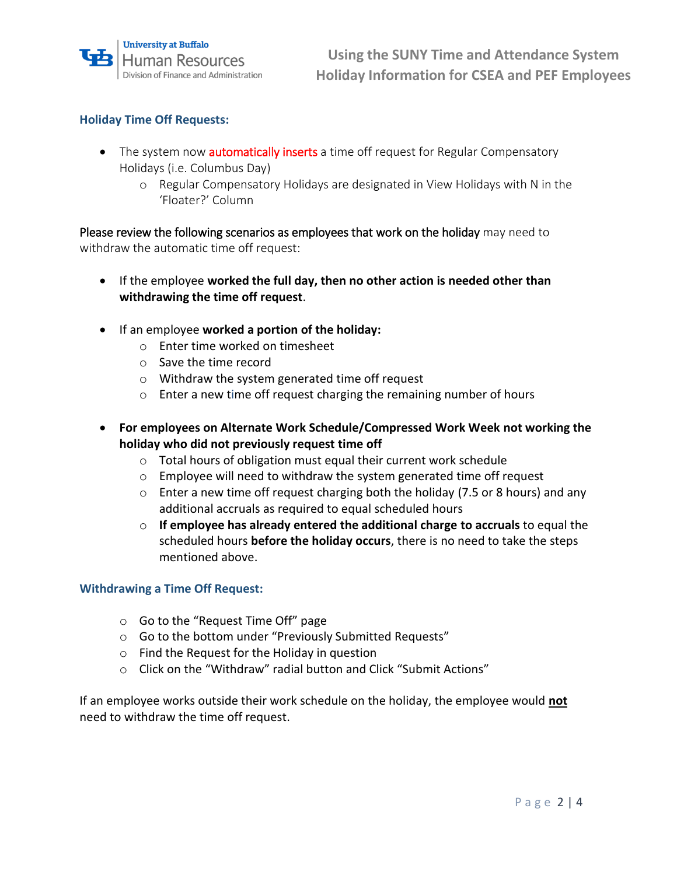# **Holiday Time Off Requests:**

- The system now **automatically inserts** a time off request for Regular Compensatory Holidays (i.e. Columbus Day)
	- o Regular Compensatory Holidays are designated in View Holidays with N in the 'Floater?' Column

Please review the following scenarios as employees that work on the holiday may need to withdraw the automatic time off request:

- If the employee **worked the full day, then no other action is needed other than withdrawing the time off request**.
- If an employee **worked a portion of the holiday:**
	- o Enter time worked on timesheet
	- o Save the time record
	- o Withdraw the system generated time off request
	- o Enter a new time off request charging the remaining number of hours
- **For employees on Alternate Work Schedule/Compressed Work Week not working the holiday who did not previously request time off**
	- o Total hours of obligation must equal their current work schedule
	- o Employee will need to withdraw the system generated time off request
	- o Enter a new time off request charging both the holiday (7.5 or 8 hours) and any additional accruals as required to equal scheduled hours
	- o **If employee has already entered the additional charge to accruals** to equal the scheduled hours **before the holiday occurs**, there is no need to take the steps mentioned above.

#### **Withdrawing a Time Off Request:**

- o Go to the "Request Time Off" page
- o Go to the bottom under "Previously Submitted Requests"
- o Find the Request for the Holiday in question
- o Click on the "Withdraw" radial button and Click "Submit Actions"

If an employee works outside their work schedule on the holiday, the employee would **not** need to withdraw the time off request.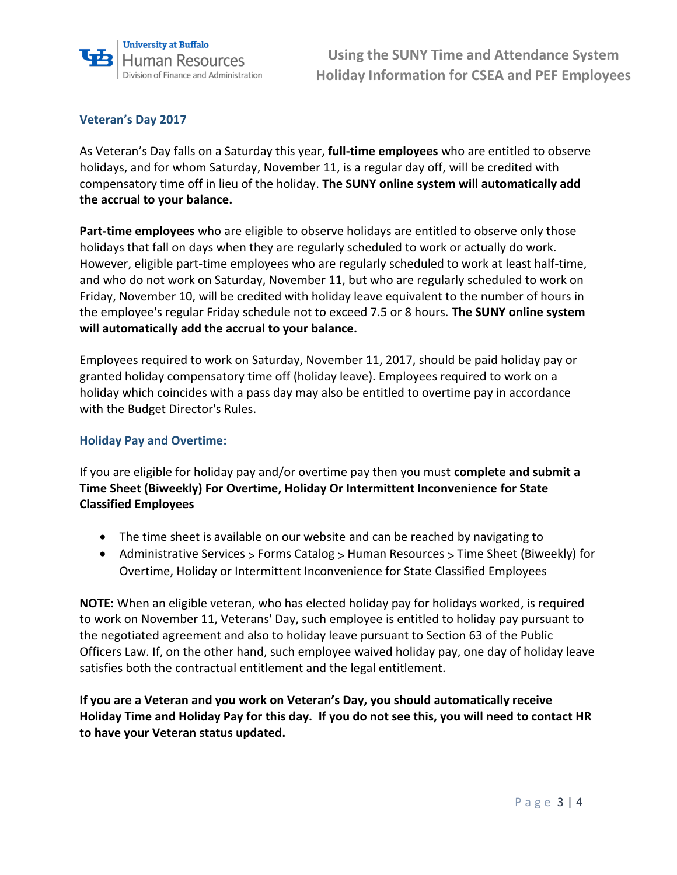

## **Veteran's Day 2017**

As Veteran's Day falls on a Saturday this year, **full-time employees** who are entitled to observe holidays, and for whom Saturday, November 11, is a regular day off, will be credited with compensatory time off in lieu of the holiday. **The SUNY online system will automatically add the accrual to your balance.** 

**Part-time employees** who are eligible to observe holidays are entitled to observe only those holidays that fall on days when they are regularly scheduled to work or actually do work. However, eligible part-time employees who are regularly scheduled to work at least half-time, and who do not work on Saturday, November 11, but who are regularly scheduled to work on Friday, November 10, will be credited with holiday leave equivalent to the number of hours in the employee's regular Friday schedule not to exceed 7.5 or 8 hours. **The SUNY online system will automatically add the accrual to your balance.** 

Employees required to work on Saturday, November 11, 2017, should be paid holiday pay or granted holiday compensatory time off (holiday leave). Employees required to work on a holiday which coincides with a pass day may also be entitled to overtime pay in accordance with the Budget Director's Rules.

#### **Holiday Pay and Overtime:**

If you are eligible for holiday pay and/or overtime pay then you must **complete and submit a Time Sheet (Biweekly) For Overtime, Holiday Or Intermittent Inconvenience for State Classified Employees**

- The time sheet is available on our website and can be reached by navigating to
- [Administrative Services](http://www.buffalo.edu/administrative-services.html) > [Forms Catalog](http://www.buffalo.edu/administrative-services/forms-catalog.html) > [Human Resources](http://www.buffalo.edu/administrative-services/forms-catalog.html) > Time Sheet (Biweekly) for Overtime, Holiday or Intermittent Inconvenience for State Classified Employees

**NOTE:** When an eligible veteran, who has elected holiday pay for holidays worked, is required to work on November 11, Veterans' Day, such employee is entitled to holiday pay pursuant to the negotiated agreement and also to holiday leave pursuant to Section 63 of the Public Officers Law. If, on the other hand, such employee waived holiday pay, one day of holiday leave satisfies both the contractual entitlement and the legal entitlement.

**If you are a Veteran and you work on Veteran's Day, you should automatically receive Holiday Time and Holiday Pay for this day. If you do not see this, you will need to contact HR to have your Veteran status updated.**